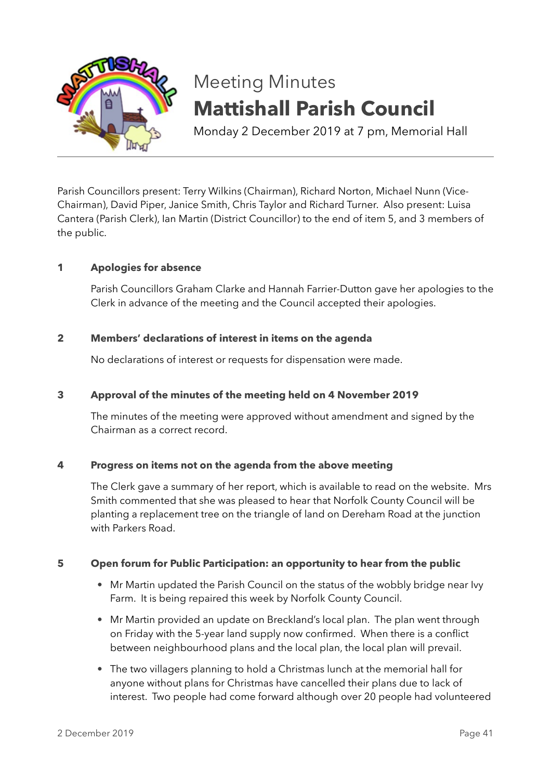

# Meeting Minutes **Mattishall Parish Council**

Monday 2 December 2019 at 7 pm, Memorial Hall

Parish Councillors present: Terry Wilkins (Chairman), Richard Norton, Michael Nunn (Vice-Chairman), David Piper, Janice Smith, Chris Taylor and Richard Turner. Also present: Luisa Cantera (Parish Clerk), Ian Martin (District Councillor) to the end of item 5, and 3 members of the public.

# **1 Apologies for absence**

Parish Councillors Graham Clarke and Hannah Farrier-Dutton gave her apologies to the Clerk in advance of the meeting and the Council accepted their apologies.

## **2 Members' declarations of interest in items on the agenda**

No declarations of interest or requests for dispensation were made.

## **3 Approval of the minutes of the meeting held on 4 November 2019**

The minutes of the meeting were approved without amendment and signed by the Chairman as a correct record.

## **4 Progress on items not on the agenda from the above meeting**

The Clerk gave a summary of her report, which is available to read on the website. Mrs Smith commented that she was pleased to hear that Norfolk County Council will be planting a replacement tree on the triangle of land on Dereham Road at the junction with Parkers Road.

## **5 Open forum for Public Participation: an opportunity to hear from the public**

- Mr Martin updated the Parish Council on the status of the wobbly bridge near Ivy Farm. It is being repaired this week by Norfolk County Council.
- Mr Martin provided an update on Breckland's local plan. The plan went through on Friday with the 5-year land supply now confirmed. When there is a conflict between neighbourhood plans and the local plan, the local plan will prevail.
- The two villagers planning to hold a Christmas lunch at the memorial hall for anyone without plans for Christmas have cancelled their plans due to lack of interest. Two people had come forward although over 20 people had volunteered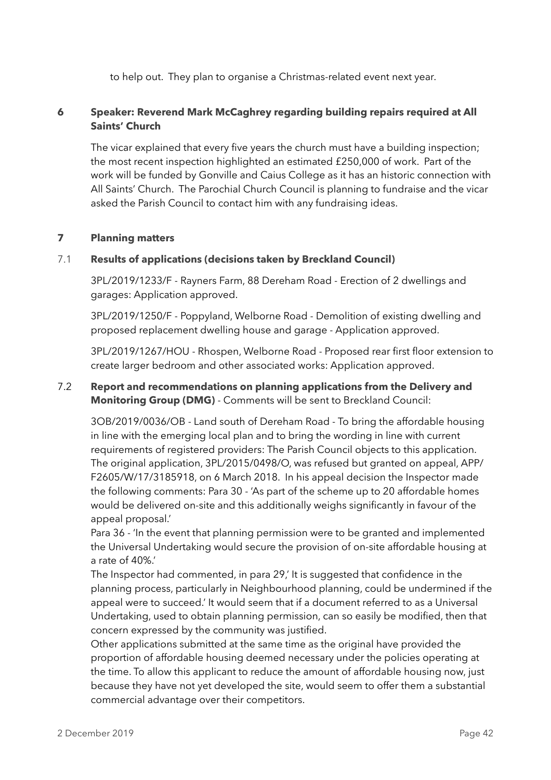to help out. They plan to organise a Christmas-related event next year.

# **6 Speaker: Reverend Mark McCaghrey regarding building repairs required at All Saints' Church**

The vicar explained that every five years the church must have a building inspection; the most recent inspection highlighted an estimated £250,000 of work. Part of the work will be funded by Gonville and Caius College as it has an historic connection with All Saints' Church. The Parochial Church Council is planning to fundraise and the vicar asked the Parish Council to contact him with any fundraising ideas.

## **7 Planning matters**

## 7.1 **Results of applications (decisions taken by Breckland Council)**

3PL/2019/1233/F - Rayners Farm, 88 Dereham Road - Erection of 2 dwellings and garages: Application approved.

3PL/2019/1250/F - Poppyland, Welborne Road - Demolition of existing dwelling and proposed replacement dwelling house and garage - Application approved.

3PL/2019/1267/HOU - Rhospen, Welborne Road - Proposed rear first floor extension to create larger bedroom and other associated works: Application approved.

## 7.2 **Report and recommendations on planning applications from the Delivery and Monitoring Group (DMG)** - Comments will be sent to Breckland Council:

3OB/2019/0036/OB - Land south of Dereham Road - To bring the affordable housing in line with the emerging local plan and to bring the wording in line with current requirements of registered providers: The Parish Council objects to this application. The original application, 3PL/2015/0498/O, was refused but granted on appeal, APP/ F2605/W/17/3185918, on 6 March 2018. In his appeal decision the Inspector made the following comments: Para 30 - 'As part of the scheme up to 20 affordable homes would be delivered on-site and this additionally weighs significantly in favour of the appeal proposal.'

Para 36 - 'In the event that planning permission were to be granted and implemented the Universal Undertaking would secure the provision of on-site affordable housing at a rate of 40%.'

The Inspector had commented, in para 29,' It is suggested that confidence in the planning process, particularly in Neighbourhood planning, could be undermined if the appeal were to succeed.' It would seem that if a document referred to as a Universal Undertaking, used to obtain planning permission, can so easily be modified, then that concern expressed by the community was justified.

Other applications submitted at the same time as the original have provided the proportion of affordable housing deemed necessary under the policies operating at the time. To allow this applicant to reduce the amount of affordable housing now, just because they have not yet developed the site, would seem to offer them a substantial commercial advantage over their competitors.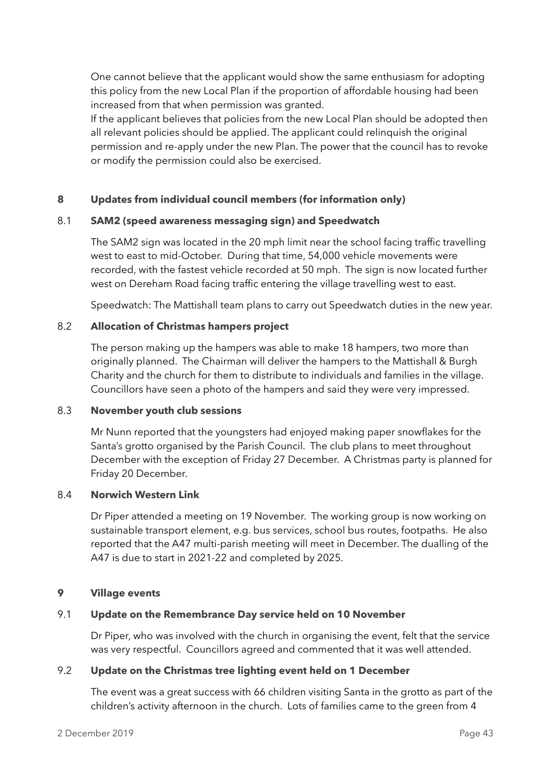One cannot believe that the applicant would show the same enthusiasm for adopting this policy from the new Local Plan if the proportion of affordable housing had been increased from that when permission was granted.

If the applicant believes that policies from the new Local Plan should be adopted then all relevant policies should be applied. The applicant could relinquish the original permission and re-apply under the new Plan. The power that the council has to revoke or modify the permission could also be exercised.

## **8 Updates from individual council members (for information only)**

## 8.1 **SAM2 (speed awareness messaging sign) and Speedwatch**

The SAM2 sign was located in the 20 mph limit near the school facing traffic travelling west to east to mid-October. During that time, 54,000 vehicle movements were recorded, with the fastest vehicle recorded at 50 mph. The sign is now located further west on Dereham Road facing traffic entering the village travelling west to east.

Speedwatch: The Mattishall team plans to carry out Speedwatch duties in the new year.

## 8.2 **Allocation of Christmas hampers project**

The person making up the hampers was able to make 18 hampers, two more than originally planned. The Chairman will deliver the hampers to the Mattishall & Burgh Charity and the church for them to distribute to individuals and families in the village. Councillors have seen a photo of the hampers and said they were very impressed.

### 8.3 **November youth club sessions**

Mr Nunn reported that the youngsters had enjoyed making paper snowflakes for the Santa's grotto organised by the Parish Council. The club plans to meet throughout December with the exception of Friday 27 December. A Christmas party is planned for Friday 20 December.

## 8.4 **Norwich Western Link**

Dr Piper attended a meeting on 19 November. The working group is now working on sustainable transport element, e.g. bus services, school bus routes, footpaths. He also reported that the A47 multi-parish meeting will meet in December. The dualling of the A47 is due to start in 2021-22 and completed by 2025.

#### **9 Village events**

## 9.1 **Update on the Remembrance Day service held on 10 November**

Dr Piper, who was involved with the church in organising the event, felt that the service was very respectful. Councillors agreed and commented that it was well attended.

#### 9.2 **Update on the Christmas tree lighting event held on 1 December**

The event was a great success with 66 children visiting Santa in the grotto as part of the children's activity afternoon in the church. Lots of families came to the green from 4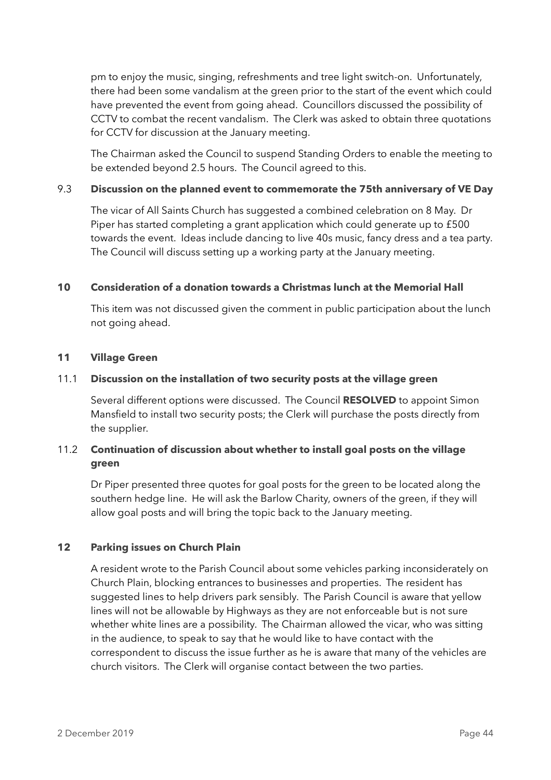pm to enjoy the music, singing, refreshments and tree light switch-on. Unfortunately, there had been some vandalism at the green prior to the start of the event which could have prevented the event from going ahead. Councillors discussed the possibility of CCTV to combat the recent vandalism. The Clerk was asked to obtain three quotations for CCTV for discussion at the January meeting.

The Chairman asked the Council to suspend Standing Orders to enable the meeting to be extended beyond 2.5 hours. The Council agreed to this.

## 9.3 **Discussion on the planned event to commemorate the 75th anniversary of VE Day**

The vicar of All Saints Church has suggested a combined celebration on 8 May. Dr Piper has started completing a grant application which could generate up to £500 towards the event. Ideas include dancing to live 40s music, fancy dress and a tea party. The Council will discuss setting up a working party at the January meeting.

## **10 Consideration of a donation towards a Christmas lunch at the Memorial Hall**

This item was not discussed given the comment in public participation about the lunch not going ahead.

## **11 Village Green**

## 11.1 **Discussion on the installation of two security posts at the village green**

Several different options were discussed. The Council **RESOLVED** to appoint Simon Mansfield to install two security posts; the Clerk will purchase the posts directly from the supplier.

# 11.2 **Continuation of discussion about whether to install goal posts on the village green**

Dr Piper presented three quotes for goal posts for the green to be located along the southern hedge line. He will ask the Barlow Charity, owners of the green, if they will allow goal posts and will bring the topic back to the January meeting.

## **12 Parking issues on Church Plain**

A resident wrote to the Parish Council about some vehicles parking inconsiderately on Church Plain, blocking entrances to businesses and properties. The resident has suggested lines to help drivers park sensibly. The Parish Council is aware that yellow lines will not be allowable by Highways as they are not enforceable but is not sure whether white lines are a possibility. The Chairman allowed the vicar, who was sitting in the audience, to speak to say that he would like to have contact with the correspondent to discuss the issue further as he is aware that many of the vehicles are church visitors. The Clerk will organise contact between the two parties.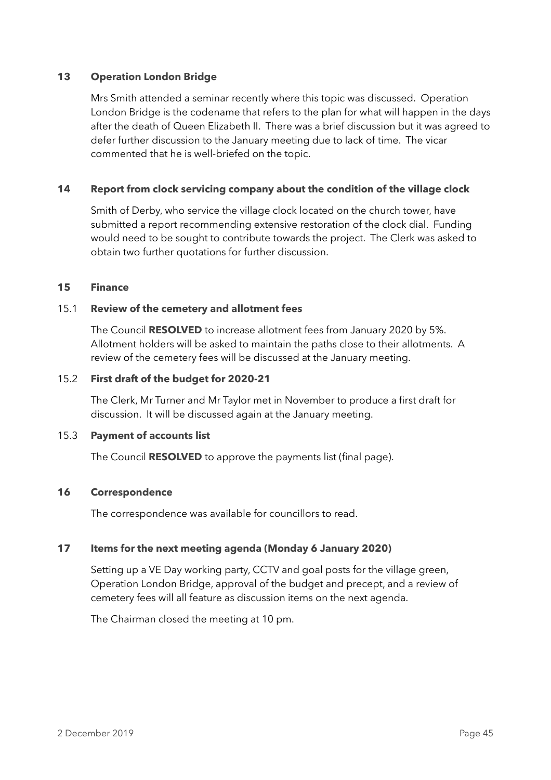## **13 Operation London Bridge**

Mrs Smith attended a seminar recently where this topic was discussed. Operation London Bridge is the codename that refers to the plan for what will happen in the days after the death of Queen Elizabeth II. There was a brief discussion but it was agreed to defer further discussion to the January meeting due to lack of time. The vicar commented that he is well-briefed on the topic.

## **14 Report from clock servicing company about the condition of the village clock**

Smith of Derby, who service the village clock located on the church tower, have submitted a report recommending extensive restoration of the clock dial. Funding would need to be sought to contribute towards the project. The Clerk was asked to obtain two further quotations for further discussion.

#### **15 Finance**

#### 15.1 **Review of the cemetery and allotment fees**

The Council **RESOLVED** to increase allotment fees from January 2020 by 5%. Allotment holders will be asked to maintain the paths close to their allotments. A review of the cemetery fees will be discussed at the January meeting.

#### 15.2 **First draft of the budget for 2020-21**

The Clerk, Mr Turner and Mr Taylor met in November to produce a first draft for discussion. It will be discussed again at the January meeting.

#### 15.3 **Payment of accounts list**

The Council **RESOLVED** to approve the payments list (final page).

#### **16 Correspondence**

The correspondence was available for councillors to read.

#### **17 Items for the next meeting agenda (Monday 6 January 2020)**

Setting up a VE Day working party, CCTV and goal posts for the village green, Operation London Bridge, approval of the budget and precept, and a review of cemetery fees will all feature as discussion items on the next agenda.

The Chairman closed the meeting at 10 pm.